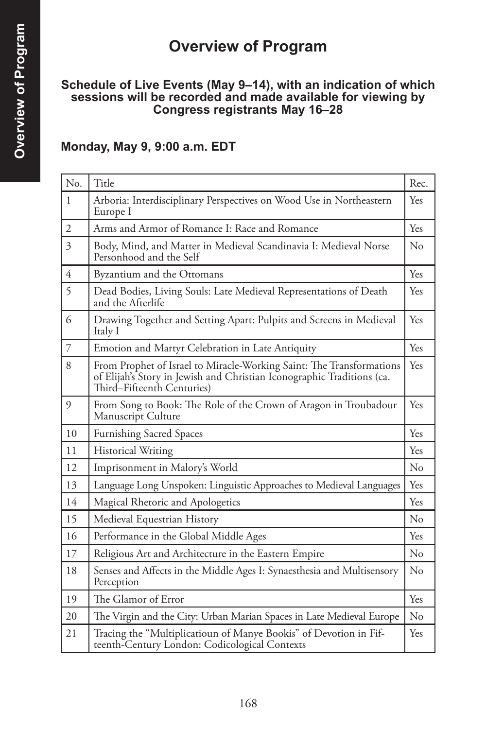# **Overview of Program**

#### **Schedule of Live Events (May 9–14), with an indication of which sessions will be recorded and made available for viewing by Congress registrants May 16–28**

#### **Monday, May 9, 9:00 a.m. EDT**

| No.            | Title                                                                                                                                                                        | Rec.     |
|----------------|------------------------------------------------------------------------------------------------------------------------------------------------------------------------------|----------|
| $\mathbf{1}$   | Arboria: Interdisciplinary Perspectives on Wood Use in Northeastern<br>Europe I                                                                                              | Yes      |
| $\overline{2}$ | Arms and Armor of Romance I: Race and Romance                                                                                                                                | Yes      |
| 3              | Body, Mind, and Matter in Medieval Scandinavia I: Medieval Norse<br>Personhood and the Self                                                                                  | No       |
| $\overline{4}$ | Byzantium and the Ottomans                                                                                                                                                   | Yes      |
| 5              | Dead Bodies, Living Souls: Late Medieval Representations of Death<br>and the Afterlife                                                                                       | Yes      |
| 6              | Drawing Together and Setting Apart: Pulpits and Screens in Medieval<br>Italy I                                                                                               | Yes.     |
| $\overline{7}$ | Emotion and Martyr Celebration in Late Antiquity                                                                                                                             | Yes      |
| 8              | From Prophet of Israel to Miracle-Working Saint: The Transformations<br>of Elijah's Story in Jewish and Christian Iconographic Traditions (ca.<br>Third-Fifteenth Centuries) | Yes      |
| 9              | From Song to Book: The Role of the Crown of Aragon in Troubadour<br>Manuscript Culture                                                                                       | Yes      |
| 10             | <b>Furnishing Sacred Spaces</b>                                                                                                                                              | Yes      |
| 11             | <b>Historical Writing</b>                                                                                                                                                    | Yes      |
| 12             | Imprisonment in Malory's World                                                                                                                                               | No       |
| 13             | Language Long Unspoken: Linguistic Approaches to Medieval Languages                                                                                                          | Yes      |
| 14             | Magical Rhetoric and Apologetics                                                                                                                                             | Yes      |
| 15             | Medieval Equestrian History                                                                                                                                                  | No       |
| 16             | Performance in the Global Middle Ages                                                                                                                                        | Yes      |
| 17             | Religious Art and Architecture in the Eastern Empire                                                                                                                         | $\rm No$ |
| 18             | Senses and Affects in the Middle Ages I: Synaesthesia and Multisensory<br>Perception                                                                                         | No       |
| 19             | The Glamor of Error                                                                                                                                                          | Yes      |
| 20             | The Virgin and the City: Urban Marian Spaces in Late Medieval Europe                                                                                                         | No       |
| 21             | Tracing the "Multiplicatioun of Manye Bookis" of Devotion in Fif-<br>teenth-Century London: Codicological Contexts                                                           | Yes      |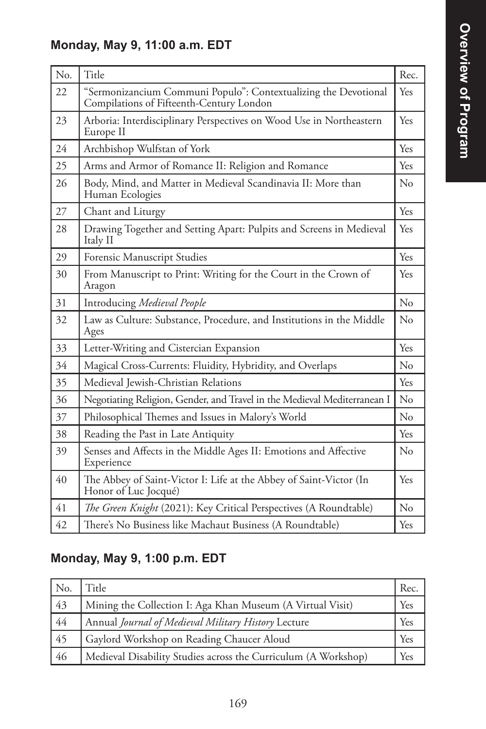## **Monday, May 9, 11:00 a.m. EDT**

| No. | Title                                                                                                       | Rec.     |
|-----|-------------------------------------------------------------------------------------------------------------|----------|
| 22  | "Sermonizancium Communi Populo": Contextualizing the Devotional<br>Compilations of Fifteenth-Century London | Yes      |
| 23  | Arboria: Interdisciplinary Perspectives on Wood Use in Northeastern<br>Europe II                            | Yes      |
| 24  | Archbishop Wulfstan of York                                                                                 | Yes      |
| 25  | Arms and Armor of Romance II: Religion and Romance                                                          | Yes      |
| 26  | Body, Mind, and Matter in Medieval Scandinavia II: More than<br>Human Ecologies                             | No       |
| 27  | Chant and Liturgy                                                                                           | Yes      |
| 28  | Drawing Together and Setting Apart: Pulpits and Screens in Medieval<br>Italy II                             | Yes      |
| 29  | Forensic Manuscript Studies                                                                                 | Yes      |
| 30  | From Manuscript to Print: Writing for the Court in the Crown of<br>Aragon                                   | Yes      |
| 31  | Introducing Medieval People                                                                                 | $\rm No$ |
| 32  | Law as Culture: Substance, Procedure, and Institutions in the Middle<br>Ages                                | $\rm No$ |
| 33  | Letter-Writing and Cistercian Expansion                                                                     | Yes      |
| 34  | Magical Cross-Currents: Fluidity, Hybridity, and Overlaps                                                   | No       |
| 35  | Medieval Jewish-Christian Relations                                                                         | Yes      |
| 36  | Negotiating Religion, Gender, and Travel in the Medieval Mediterranean I                                    | No       |
| 37  | Philosophical Themes and Issues in Malory's World                                                           | No       |
| 38  | Reading the Past in Late Antiquity                                                                          | Yes      |
| 39  | Senses and Affects in the Middle Ages II: Emotions and Affective<br>Experience                              | No       |
| 40  | The Abbey of Saint-Victor I: Life at the Abbey of Saint-Victor (In<br>Honor of Luc Jocqué)                  | Yes      |
| 41  | The Green Knight (2021): Key Critical Perspectives (A Roundtable)                                           | $\rm No$ |
| 42  | There's No Business like Machaut Business (A Roundtable)                                                    | Yes      |

# **Monday, May 9, 1:00 p.m. EDT**

| No. | Title                                                          | Rec. |
|-----|----------------------------------------------------------------|------|
| 43  | Mining the Collection I: Aga Khan Museum (A Virtual Visit)     | Yes  |
| 44  | Annual Journal of Medieval Military History Lecture            | Yes  |
| 45  | Gaylord Workshop on Reading Chaucer Aloud                      | Yes  |
| 46  | Medieval Disability Studies across the Curriculum (A Workshop) | Yes  |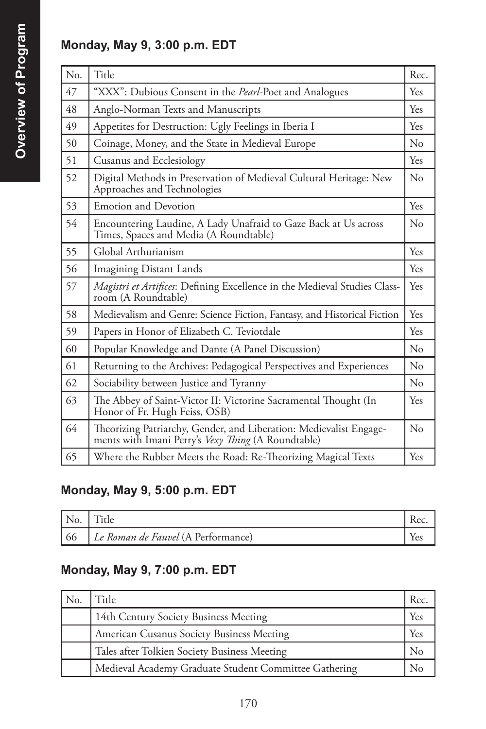### **Monday, May 9, 3:00 p.m. EDT**

| N <sub>o</sub> | Title                                                                                                                    | Rec.       |
|----------------|--------------------------------------------------------------------------------------------------------------------------|------------|
| 47             | "XXX": Dubious Consent in the Pearl-Poet and Analogues                                                                   | Yes        |
| 48             | Anglo-Norman Texts and Manuscripts                                                                                       | Yes        |
| 49             | Appetites for Destruction: Ugly Feelings in Iberia I                                                                     | <b>Yes</b> |
| 50             | Coinage, Money, and the State in Medieval Europe                                                                         | $\rm No$   |
| 51             | Cusanus and Ecclesiology                                                                                                 | <b>Yes</b> |
| 52             | Digital Methods in Preservation of Medieval Cultural Heritage: New<br>Approaches and Technologies                        | $\rm No$   |
| 53             | <b>Emotion and Devotion</b>                                                                                              | Yes        |
| 54             | Encountering Laudine, A Lady Unafraid to Gaze Back at Us across<br>Times, Spaces and Media (A Roundtable)                | $\rm No$   |
| 55             | Global Arthurianism                                                                                                      | Yes        |
| 56             | <b>Imagining Distant Lands</b>                                                                                           | Yes        |
| 57             | Magistri et Artifices: Defining Excellence in the Medieval Studies Class-<br>room (A Roundtable)                         | Yes        |
| 58             | Medievalism and Genre: Science Fiction, Fantasy, and Historical Fiction                                                  | Yes        |
| 59             | Papers in Honor of Elizabeth C. Teviotdale                                                                               | Yes        |
| 60             | Popular Knowledge and Dante (A Panel Discussion)                                                                         | $\rm No$   |
| 61             | Returning to the Archives: Pedagogical Perspectives and Experiences                                                      | $\rm No$   |
| 62             | Sociability between Justice and Tyranny                                                                                  | No         |
| 63             | The Abbey of Saint-Victor II: Victorine Sacramental Thought (In<br>Honor of Fr. Hugh Feiss, OSB)                         | Yes        |
| 64             | Theorizing Patriarchy, Gender, and Liberation: Medievalist Engage-<br>ments with Imani Perry's Vexy Thing (A Roundtable) | $\rm No$   |
| 65             | Where the Rubber Meets the Road: Re-Theorizing Magical Texts                                                             | Yes        |

### **Monday, May 9, 5:00 p.m. EDT**

| $\mathsf{N}_0$ . | 1 itle                             |  |
|------------------|------------------------------------|--|
| 66               | Le Roman de Fauvel (A Performance) |  |

### **Monday, May 9, 7:00 p.m. EDT**

| No. | Title                                                 | Rec. |
|-----|-------------------------------------------------------|------|
|     | 14th Century Society Business Meeting                 | Yes  |
|     | American Cusanus Society Business Meeting             | Yes  |
|     | Tales after Tolkien Society Business Meeting          | No   |
|     | Medieval Academy Graduate Student Committee Gathering |      |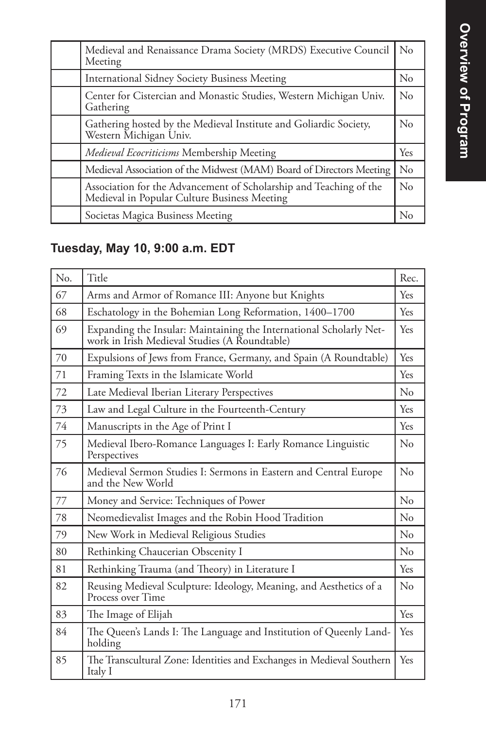| Medieval and Renaissance Drama Society (MRDS) Executive Council<br>Meeting                                         | No       |
|--------------------------------------------------------------------------------------------------------------------|----------|
| <b>International Sidney Society Business Meeting</b>                                                               | $\rm No$ |
| Center for Cistercian and Monastic Studies, Western Michigan Univ.<br>Gathering                                    | $\rm No$ |
| Gathering hosted by the Medieval Institute and Goliardic Society,<br>Western Michigan Univ.                        | $\rm No$ |
| <i>Medieval Ecocriticisms</i> Membership Meeting                                                                   | Yes      |
| Medieval Association of the Midwest (MAM) Board of Directors Meeting                                               | $\rm No$ |
| Association for the Advancement of Scholarship and Teaching of the<br>Medieval in Popular Culture Business Meeting | $\rm No$ |
| Societas Magica Business Meeting                                                                                   | Nο       |

# **Tuesday, May 10, 9:00 a.m. EDT**

| No. | Title                                                                                                                | Rec.        |
|-----|----------------------------------------------------------------------------------------------------------------------|-------------|
| 67  | Arms and Armor of Romance III: Anyone but Knights                                                                    | Yes         |
| 68  | Eschatology in the Bohemian Long Reformation, 1400-1700                                                              | Yes         |
| 69  | Expanding the Insular: Maintaining the International Scholarly Net-<br>work in Irish Medieval Studies (A Roundtable) | Yes         |
| 70  | Expulsions of Jews from France, Germany, and Spain (A Roundtable)                                                    | Yes         |
| 71  | Framing Texts in the Islamicate World                                                                                | Yes         |
| 72  | Late Medieval Iberian Literary Perspectives                                                                          | $\rm N_{0}$ |
| 73  | Law and Legal Culture in the Fourteenth-Century                                                                      | Yes         |
| 74  | Manuscripts in the Age of Print I                                                                                    | Yes         |
| 75  | Medieval Ibero-Romance Languages I: Early Romance Linguistic<br>Perspectives                                         | $\rm No$    |
| 76  | Medieval Sermon Studies I: Sermons in Eastern and Central Europe<br>and the New World                                | No          |
| 77  | Money and Service: Techniques of Power                                                                               | No          |
| 78  | Neomedievalist Images and the Robin Hood Tradition                                                                   | $\rm N_{0}$ |
| 79  | New Work in Medieval Religious Studies                                                                               | $\rm N_{0}$ |
| 80  | Rethinking Chaucerian Obscenity I                                                                                    | No          |
| 81  | Rethinking Trauma (and Theory) in Literature I                                                                       | Yes         |
| 82  | Reusing Medieval Sculpture: Ideology, Meaning, and Aesthetics of a<br>Process over Time                              | No          |
| 83  | The Image of Elijah                                                                                                  | Yes         |
| 84  | The Queen's Lands I: The Language and Institution of Queenly Land-<br>holding                                        | Yes         |
| 85  | The Transcultural Zone: Identities and Exchanges in Medieval Southern<br>Italy I                                     | <b>Yes</b>  |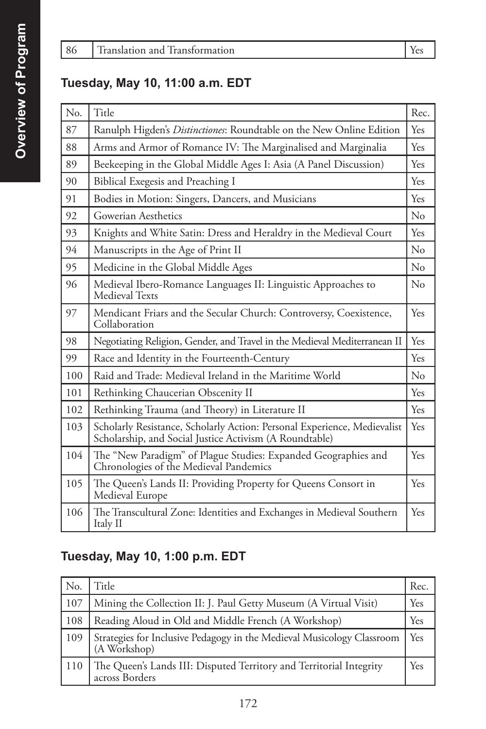#### **Tuesday, May 10, 11:00 a.m. EDT**

| No. | Title                                                                                                                               | Rec.     |
|-----|-------------------------------------------------------------------------------------------------------------------------------------|----------|
| 87  | Ranulph Higden's Distinctiones: Roundtable on the New Online Edition                                                                | Yes      |
| 88  | Arms and Armor of Romance IV: The Marginalised and Marginalia                                                                       | Yes      |
| 89  | Beekeeping in the Global Middle Ages I: Asia (A Panel Discussion)                                                                   | Yes      |
| 90  | Biblical Exegesis and Preaching I                                                                                                   | Yes      |
| 91  | Bodies in Motion: Singers, Dancers, and Musicians                                                                                   | Yes      |
| 92  | Gowerian Aesthetics                                                                                                                 | $\rm No$ |
| 93  | Knights and White Satin: Dress and Heraldry in the Medieval Court                                                                   | Yes      |
| 94  | Manuscripts in the Age of Print II                                                                                                  | $\rm No$ |
| 95  | Medicine in the Global Middle Ages                                                                                                  | $\rm No$ |
| 96  | Medieval Ibero-Romance Languages II: Linguistic Approaches to<br>Medieval Texts                                                     | $\rm No$ |
| 97  | Mendicant Friars and the Secular Church: Controversy, Coexistence,<br>Collaboration                                                 | Yes      |
| 98  | Negotiating Religion, Gender, and Travel in the Medieval Mediterranean II                                                           | Yes      |
| 99  | Race and Identity in the Fourteenth-Century                                                                                         | Yes      |
| 100 | Raid and Trade: Medieval Ireland in the Maritime World                                                                              | $\rm No$ |
| 101 | Rethinking Chaucerian Obscenity II                                                                                                  | Yes      |
| 102 | Rethinking Trauma (and Theory) in Literature II                                                                                     | Yes      |
| 103 | Scholarly Resistance, Scholarly Action: Personal Experience, Medievalist<br>Scholarship, and Social Justice Activism (A Roundtable) | Yes      |
| 104 | The "New Paradigm" of Plague Studies: Expanded Geographies and<br>Chronologies of the Medieval Pandemics                            | Yes      |
| 105 | The Queen's Lands II: Providing Property for Queens Consort in<br>Medieval Europe                                                   | Yes      |
| 106 | The Transcultural Zone: Identities and Exchanges in Medieval Southern<br>Italy II                                                   | Yes      |

### **Tuesday, May 10, 1:00 p.m. EDT**

| No. | Title                                                                                  | Rec.  |
|-----|----------------------------------------------------------------------------------------|-------|
| 107 | Mining the Collection II: J. Paul Getty Museum (A Virtual Visit)                       | Yes   |
| 108 | Reading Aloud in Old and Middle French (A Workshop)                                    | Yes   |
| 109 | Strategies for Inclusive Pedagogy in the Medieval Musicology Classroom<br>(A Workshop) | l Yes |
| 110 | The Queen's Lands III: Disputed Territory and Territorial Integrity<br>across Borders  | Yes   |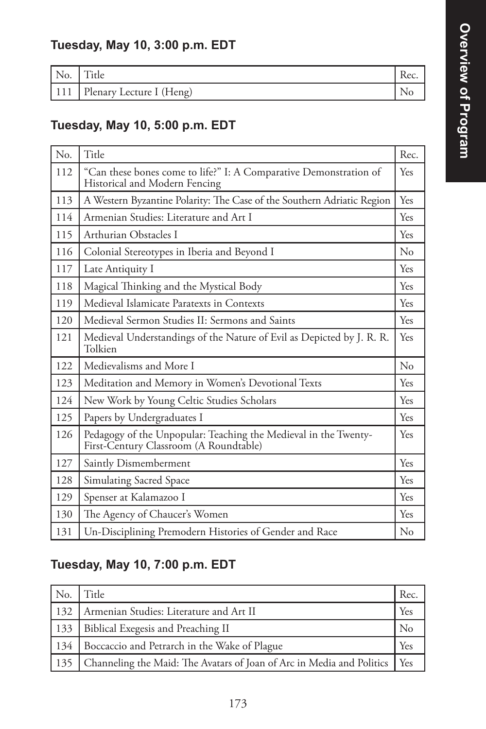### **Tuesday, May 10, 3:00 p.m. EDT**

| No. | <sub>1</sub> tle         | Kec. |
|-----|--------------------------|------|
| 111 | Plenary Lecture I (Heng) |      |

### **Tuesday, May 10, 5:00 p.m. EDT**

| No. | Title                                                                                                     | Rec. |
|-----|-----------------------------------------------------------------------------------------------------------|------|
| 112 | "Can these bones come to life?" I: A Comparative Demonstration of<br>Historical and Modern Fencing        | Yes  |
| 113 | A Western Byzantine Polarity: The Case of the Southern Adriatic Region                                    | Yes  |
| 114 | Armenian Studies: Literature and Art I                                                                    | Yes  |
| 115 | Arthurian Obstacles I                                                                                     | Yes  |
| 116 | Colonial Stereotypes in Iberia and Beyond I                                                               | No   |
| 117 | Late Antiquity I                                                                                          | Yes  |
| 118 | Magical Thinking and the Mystical Body                                                                    | Yes  |
| 119 | Medieval Islamicate Paratexts in Contexts                                                                 | Yes  |
| 120 | Medieval Sermon Studies II: Sermons and Saints                                                            | Yes  |
| 121 | Medieval Understandings of the Nature of Evil as Depicted by J. R. R.<br>Tolkien                          | Yes  |
| 122 | Medievalisms and More I                                                                                   | No   |
| 123 | Meditation and Memory in Women's Devotional Texts                                                         | Yes  |
| 124 | New Work by Young Celtic Studies Scholars                                                                 | Yes  |
| 125 | Papers by Undergraduates I                                                                                | Yes  |
| 126 | Pedagogy of the Unpopular: Teaching the Medieval in the Twenty-<br>First-Century Classroom (A Roundtable) | Yes  |
| 127 | Saintly Dismemberment                                                                                     | Yes  |
| 128 | <b>Simulating Sacred Space</b>                                                                            | Yes  |
| 129 | Spenser at Kalamazoo I                                                                                    | Yes  |
| 130 | The Agency of Chaucer's Women                                                                             | Yes  |
| 131 | Un-Disciplining Premodern Histories of Gender and Race                                                    | No   |

### **Tuesday, May 10, 7:00 p.m. EDT**

| No. | Title                                                                       | Rec.  |
|-----|-----------------------------------------------------------------------------|-------|
| 132 | Armenian Studies: Literature and Art II                                     | Yes   |
|     | 133   Biblical Exegesis and Preaching II                                    |       |
| 134 | Boccaccio and Petrarch in the Wake of Plague                                | Yes   |
|     | 135   Channeling the Maid: The Avatars of Joan of Arc in Media and Politics | l Yes |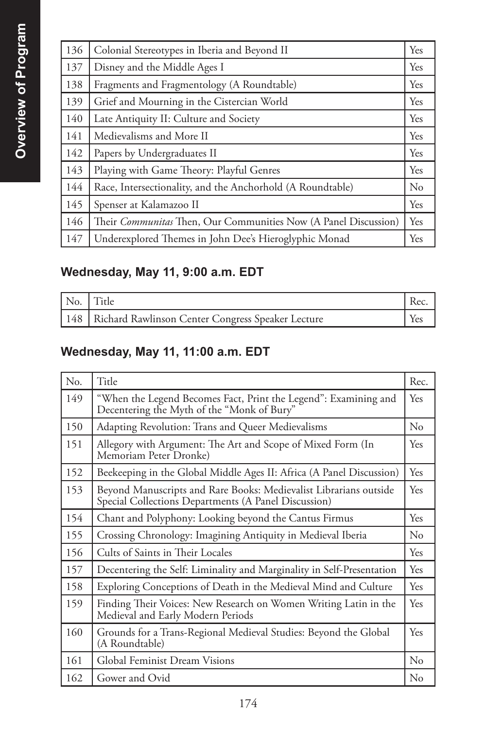| 136 | Colonial Stereotypes in Iberia and Beyond II                           | Yes      |
|-----|------------------------------------------------------------------------|----------|
| 137 | Disney and the Middle Ages I                                           | Yes      |
| 138 | Fragments and Fragmentology (A Roundtable)                             | Yes      |
| 139 | Grief and Mourning in the Cistercian World                             | Yes      |
| 140 | Late Antiquity II: Culture and Society                                 | Yes      |
| 141 | Medievalisms and More II                                               | Yes      |
| 142 | Papers by Undergraduates II                                            | Yes      |
| 143 | Playing with Game Theory: Playful Genres                               | Yes      |
| 144 | Race, Intersectionality, and the Anchorhold (A Roundtable)             | $\rm No$ |
| 145 | Spenser at Kalamazoo II                                                | Yes      |
| 146 | Their <i>Communitas</i> Then, Our Communities Now (A Panel Discussion) | Yes      |
| 147 | Underexplored Themes in John Dee's Hieroglyphic Monad                  | Yes      |

### **Wednesday, May 11, 9:00 a.m. EDT**

| No. Title                                               |  |
|---------------------------------------------------------|--|
| 148   Richard Rawlinson Center Congress Speaker Lecture |  |

### **Wednesday, May 11, 11:00 a.m. EDT**

| No. | Title                                                                                                                     | Rec.     |
|-----|---------------------------------------------------------------------------------------------------------------------------|----------|
| 149 | "When the Legend Becomes Fact, Print the Legend": Examining and<br>Decentering the Myth of the "Monk of Bury"             | Yes      |
| 150 | Adapting Revolution: Trans and Queer Medievalisms                                                                         | $\rm No$ |
| 151 | Allegory with Argument: The Art and Scope of Mixed Form (In<br>Memoriam Peter Dronke)                                     | Yes      |
| 152 | Beekeeping in the Global Middle Ages II: Africa (A Panel Discussion)                                                      | Yes      |
| 153 | Beyond Manuscripts and Rare Books: Medievalist Librarians outside<br>Special Collections Departments (A Panel Discussion) | Yes      |
| 154 | Chant and Polyphony: Looking beyond the Cantus Firmus                                                                     | Yes      |
| 155 | Crossing Chronology: Imagining Antiquity in Medieval Iberia                                                               | $\rm No$ |
| 156 | Cults of Saints in Their Locales                                                                                          | Yes      |
| 157 | Decentering the Self: Liminality and Marginality in Self-Presentation                                                     | Yes      |
| 158 | Exploring Conceptions of Death in the Medieval Mind and Culture                                                           | Yes      |
| 159 | Finding Their Voices: New Research on Women Writing Latin in the<br>Medieval and Early Modern Periods                     | Yes      |
| 160 | Grounds for a Trans-Regional Medieval Studies: Beyond the Global<br>(A Roundtable)                                        | Yes      |
| 161 | Global Feminist Dream Visions                                                                                             | $\rm No$ |
| 162 | Gower and Ovid                                                                                                            | $\rm No$ |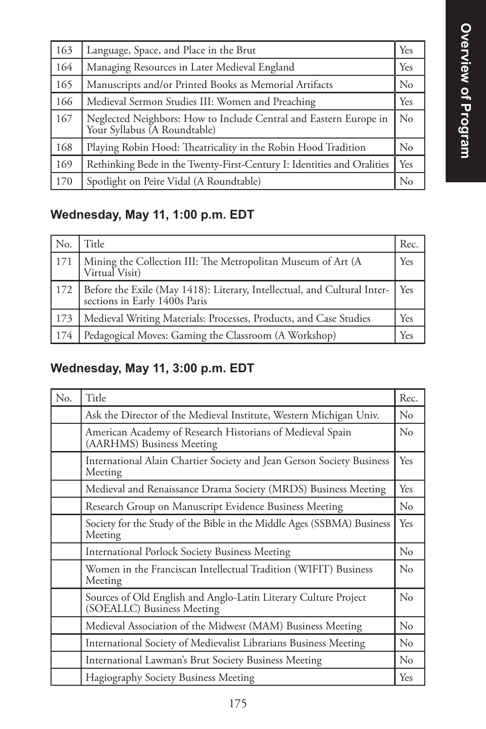| 163 | Language, Space, and Place in the Brut                                                            | Yes            |
|-----|---------------------------------------------------------------------------------------------------|----------------|
| 164 | Managing Resources in Later Medieval England                                                      | Yes            |
| 165 | Manuscripts and/or Printed Books as Memorial Artifacts                                            | N <sub>0</sub> |
| 166 | Medieval Sermon Studies III: Women and Preaching                                                  | Yes            |
| 167 | Neglected Neighbors: How to Include Central and Eastern Europe in<br>Your Syllabus (A Roundtable) | $\rm No$       |
| 168 | Playing Robin Hood: Theatricality in the Robin Hood Tradition                                     | No             |
| 169 | Rethinking Bede in the Twenty-First-Century I: Identities and Oralities                           | Yes            |
| 170 | Spotlight on Peire Vidal (A Roundtable)                                                           | $\rm No$       |

# **Wednesday, May 11, 1:00 p.m. EDT**

| No.            | Title                                                                                                             | Rec.       |
|----------------|-------------------------------------------------------------------------------------------------------------------|------------|
| <sup>171</sup> | Mining the Collection III: The Metropolitan Museum of Art (A<br>Virtual Visit)                                    | <b>Yes</b> |
|                | 172   Before the Exile (May 1418): Literary, Intellectual, and Cultural Inter-<br>  sections in Early 1400s Paris | Yes        |
| 173            | Medieval Writing Materials: Processes, Products, and Case Studies                                                 | Yes        |
| 174            | Pedagogical Moves: Gaming the Classroom (A Workshop)                                                              |            |

## **Wednesday, May 11, 3:00 p.m. EDT**

| N <sub>o</sub> . | Title                                                                                         | Rec.           |
|------------------|-----------------------------------------------------------------------------------------------|----------------|
|                  | Ask the Director of the Medieval Institute, Western Michigan Univ.                            | $\rm No$       |
|                  | American Academy of Research Historians of Medieval Spain<br>(AARHMS) Business Meeting        | No             |
|                  | International Alain Chartier Society and Jean Gerson Society Business<br>Meeting              | Yes            |
|                  | Medieval and Renaissance Drama Society (MRDS) Business Meeting                                | <b>Yes</b>     |
|                  | Research Group on Manuscript Evidence Business Meeting                                        | No             |
|                  | Society for the Study of the Bible in the Middle Ages (SSBMA) Business<br>Meeting             | Yes            |
|                  | <b>International Porlock Society Business Meeting</b>                                         | $\rm No$       |
|                  | Women in the Franciscan Intellectual Tradition (WIFIT) Business<br>Meeting                    | N <sub>0</sub> |
|                  | Sources of Old English and Anglo-Latin Literary Culture Project<br>(SOEALLC) Business Meeting | $\rm No$       |
|                  | Medieval Association of the Midwest (MAM) Business Meeting                                    | $\rm No$       |
|                  | International Society of Medievalist Librarians Business Meeting                              | $\rm No$       |
|                  | International Lawman's Brut Society Business Meeting                                          | $\rm No$       |
|                  | Hagiography Society Business Meeting                                                          | Yes            |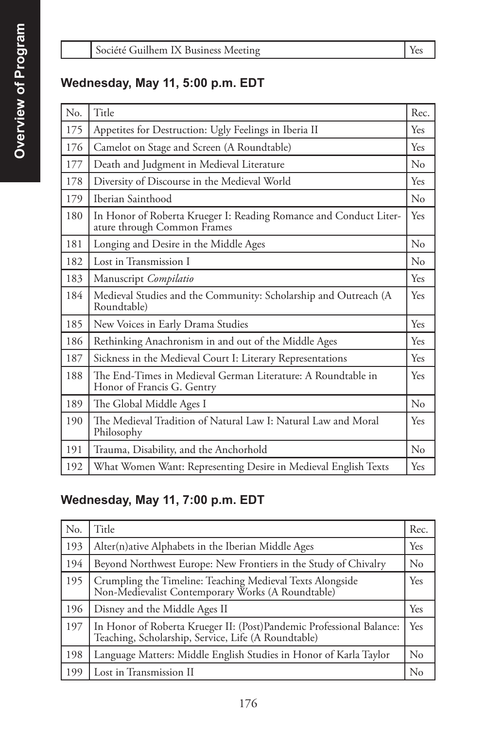#### **Wednesday, May 11, 5:00 p.m. EDT**

| No. | Title                                                                                            | Rec.     |
|-----|--------------------------------------------------------------------------------------------------|----------|
| 175 | Appetites for Destruction: Ugly Feelings in Iberia II                                            | Yes      |
| 176 | Camelot on Stage and Screen (A Roundtable)                                                       | Yes      |
| 177 | Death and Judgment in Medieval Literature                                                        | No       |
| 178 | Diversity of Discourse in the Medieval World                                                     | Yes      |
| 179 | Iberian Sainthood                                                                                | $\rm No$ |
| 180 | In Honor of Roberta Krueger I: Reading Romance and Conduct Liter-<br>ature through Common Frames | Yes      |
| 181 | Longing and Desire in the Middle Ages                                                            | $\rm No$ |
| 182 | Lost in Transmission I                                                                           | $\rm No$ |
| 183 | Manuscript Compilatio                                                                            | Yes      |
| 184 | Medieval Studies and the Community: Scholarship and Outreach (A<br>Roundtable)                   | Yes      |
| 185 | New Voices in Early Drama Studies                                                                | Yes      |
| 186 | Rethinking Anachronism in and out of the Middle Ages                                             | Yes      |
| 187 | Sickness in the Medieval Court I: Literary Representations                                       | Yes      |
| 188 | The End-Times in Medieval German Literature: A Roundtable in<br>Honor of Francis G. Gentry       | Yes      |
| 189 | The Global Middle Ages I                                                                         | No       |
| 190 | The Medieval Tradition of Natural Law I: Natural Law and Moral<br>Philosophy                     | Yes      |
| 191 | Trauma, Disability, and the Anchorhold                                                           | No       |
| 192 | What Women Want: Representing Desire in Medieval English Texts                                   | Yes      |

### **Wednesday, May 11, 7:00 p.m. EDT**

| N <sub>o</sub> | Title                                                                                                                        | Rec.     |
|----------------|------------------------------------------------------------------------------------------------------------------------------|----------|
| 193            | Alter(n) ative Alphabets in the Iberian Middle Ages                                                                          | Yes      |
| 194            | Beyond Northwest Europe: New Frontiers in the Study of Chivalry                                                              | $\rm No$ |
| 195            | Crumpling the Timeline: Teaching Medieval Texts Alongside<br>Non-Medievalist Contemporary Works (A Roundtable)               | Yes      |
| 196            | Disney and the Middle Ages II                                                                                                | Yes      |
| 197            | In Honor of Roberta Krueger II: (Post) Pandemic Professional Balance:<br>Teaching, Scholarship, Service, Life (A Roundtable) | Yes      |
| 198            | Language Matters: Middle English Studies in Honor of Karla Taylor                                                            | $\rm No$ |
| 199            | Lost in Transmission II                                                                                                      | N.       |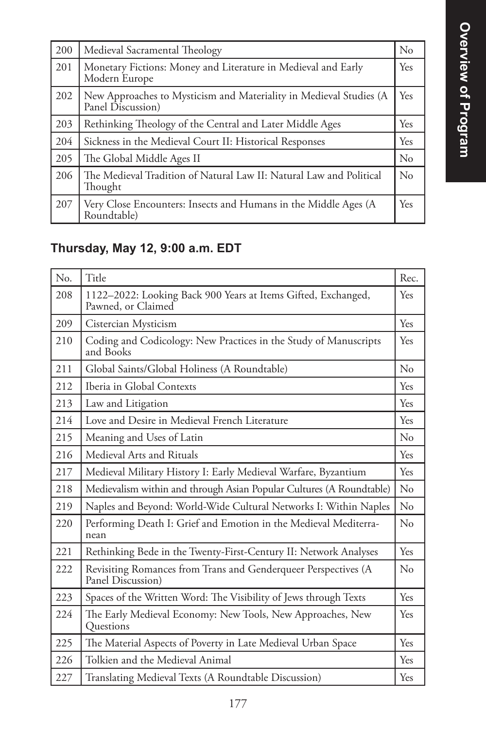| 200 | Medieval Sacramental Theology                                                           | $\rm No$ |
|-----|-----------------------------------------------------------------------------------------|----------|
| 201 | Monetary Fictions: Money and Literature in Medieval and Early<br>Modern Europe          | Yes      |
| 202 | New Approaches to Mysticism and Materiality in Medieval Studies (A<br>Panel Discussion) | Yes      |
| 203 | Rethinking Theology of the Central and Later Middle Ages                                | Yes      |
| 204 | Sickness in the Medieval Court II: Historical Responses                                 | Yes      |
| 205 | The Global Middle Ages II                                                               | $\rm No$ |
| 206 | The Medieval Tradition of Natural Law II: Natural Law and Political<br>Thought          | $\rm No$ |
| 207 | Very Close Encounters: Insects and Humans in the Middle Ages (A<br>Roundtable)          | Yes      |

# **Thursday, May 12, 9:00 a.m. EDT**

| N <sub>o</sub> . | Title                                                                               | Rec. |
|------------------|-------------------------------------------------------------------------------------|------|
| 208              | 1122-2022: Looking Back 900 Years at Items Gifted, Exchanged,<br>Pawned, or Claimed | Yes  |
| 209              | Cistercian Mysticism                                                                | Yes  |
| 210              | Coding and Codicology: New Practices in the Study of Manuscripts<br>and Books       | Yes  |
| 211              | Global Saints/Global Holiness (A Roundtable)                                        | No   |
| 212              | Iberia in Global Contexts                                                           | Yes  |
| 213              | Law and Litigation                                                                  | Yes  |
| 214              | Love and Desire in Medieval French Literature                                       | Yes  |
| 215              | Meaning and Uses of Latin                                                           | No   |
| 216              | Medieval Arts and Rituals                                                           | Yes  |
| 217              | Medieval Military History I: Early Medieval Warfare, Byzantium                      | Yes  |
| 218              | Medievalism within and through Asian Popular Cultures (A Roundtable)                | No   |
| 219              | Naples and Beyond: World-Wide Cultural Networks I: Within Naples                    | No   |
| 220              | Performing Death I: Grief and Emotion in the Medieval Mediterra-<br>nean            | No   |
| 221              | Rethinking Bede in the Twenty-First-Century II: Network Analyses                    | Yes  |
| 222              | Revisiting Romances from Trans and Genderqueer Perspectives (A<br>Panel Discussion) | No   |
| 223              | Spaces of the Written Word: The Visibility of Jews through Texts                    | Yes  |
| 224              | The Early Medieval Economy: New Tools, New Approaches, New<br>Questions             | Yes  |
| 225              | The Material Aspects of Poverty in Late Medieval Urban Space                        | Yes  |
| 226              | Tolkien and the Medieval Animal                                                     | Yes  |
| 227              | Translating Medieval Texts (A Roundtable Discussion)                                | Yes  |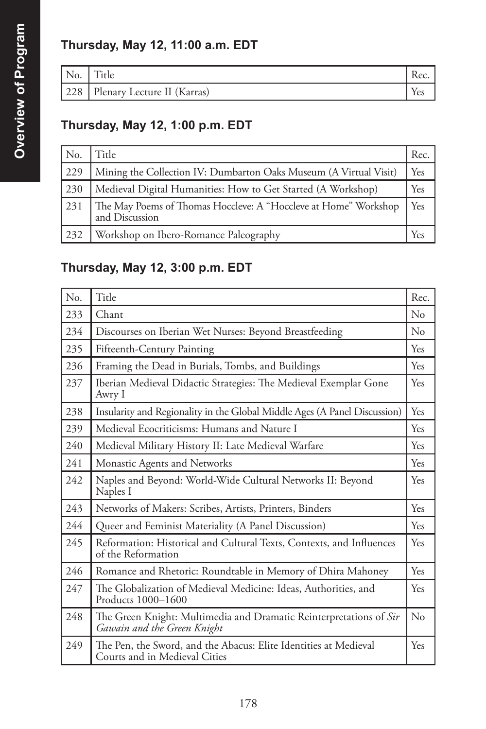# **Thursday, May 12, 11:00 a.m. EDT**

| NO. | ᠇᠇᠃<br><sub>1</sub> tle     | $.~\alpha$ |
|-----|-----------------------------|------------|
| 228 | Plenary Lecture II (Karras) |            |

### **Thursday, May 12, 1:00 p.m. EDT**

| No. | Title                                                                             | Rec. |
|-----|-----------------------------------------------------------------------------------|------|
| 229 | Mining the Collection IV: Dumbarton Oaks Museum (A Virtual Visit)                 | Yes  |
| 230 | Medieval Digital Humanities: How to Get Started (A Workshop)                      | Yes  |
| 231 | The May Poems of Thomas Hoccleve: A "Hoccleve at Home" Workshop<br>and Discussion | Yes  |
| 232 | Workshop on Ibero-Romance Paleography                                             |      |

### **Thursday, May 12, 3:00 p.m. EDT**

| N <sub>o</sub> | Title                                                                                             | Rec.     |
|----------------|---------------------------------------------------------------------------------------------------|----------|
| 233            | Chant                                                                                             | $\rm No$ |
| 234            | Discourses on Iberian Wet Nurses: Beyond Breastfeeding                                            | $\rm No$ |
| 235            | Fifteenth-Century Painting                                                                        | Yes      |
| 236            | Framing the Dead in Burials, Tombs, and Buildings                                                 | Yes      |
| 237            | Iberian Medieval Didactic Strategies: The Medieval Exemplar Gone<br>Awry I                        | Yes      |
| 238            | Insularity and Regionality in the Global Middle Ages (A Panel Discussion)                         | Yes      |
| 239            | Medieval Ecocriticisms: Humans and Nature I                                                       | Yes      |
| 240            | Medieval Military History II: Late Medieval Warfare                                               | Yes      |
| 241            | Monastic Agents and Networks                                                                      | Yes      |
| 242            | Naples and Beyond: World-Wide Cultural Networks II: Beyond<br>Naples I                            | Yes      |
| 243            | Networks of Makers: Scribes, Artists, Printers, Binders                                           | Yes      |
| 244            | Queer and Feminist Materiality (A Panel Discussion)                                               | Yes      |
| 245            | Reformation: Historical and Cultural Texts, Contexts, and Influences<br>of the Reformation        | Yes      |
| 246            | Romance and Rhetoric: Roundtable in Memory of Dhira Mahoney                                       | Yes      |
| 247            | The Globalization of Medieval Medicine: Ideas, Authorities, and<br>Products 1000-1600             | Yes      |
| 248            | The Green Knight: Multimedia and Dramatic Reinterpretations of Sir<br>Gawain and the Green Knight | $\rm No$ |
| 249            | The Pen, the Sword, and the Abacus: Elite Identities at Medieval<br>Courts and in Medieval Cities | Yes      |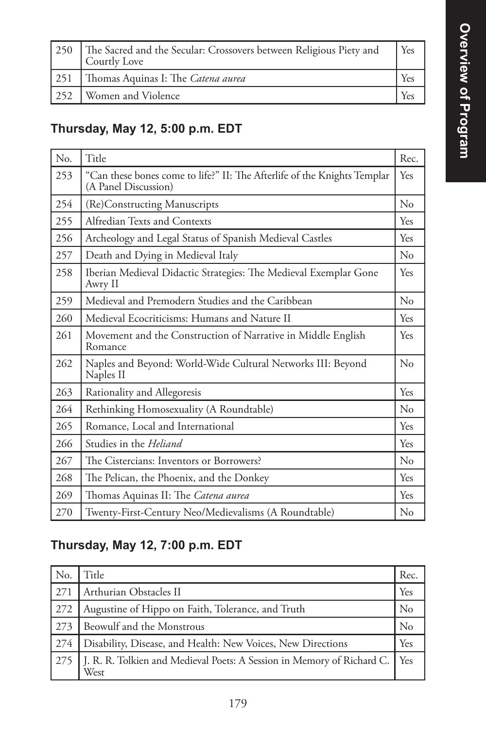┪

| 250   The Sacred and the Secular: Crossovers between Religious Piety and<br>Courtly Love | Yes |
|------------------------------------------------------------------------------------------|-----|
| 251   Thomas Aquinas I: The Catena aurea                                                 | Yes |
| 252   Women and Violence                                                                 | Yes |

### **Thursday, May 12, 5:00 p.m. EDT**

| No. | Title                                                                                            | Rec.     |
|-----|--------------------------------------------------------------------------------------------------|----------|
| 253 | "Can these bones come to life?" II: The Afterlife of the Knights Templar<br>(A Panel Discussion) | Yes      |
| 254 | (Re)Constructing Manuscripts                                                                     | No       |
| 255 | Alfredian Texts and Contexts                                                                     | Yes      |
| 256 | Archeology and Legal Status of Spanish Medieval Castles                                          | Yes      |
| 257 | Death and Dying in Medieval Italy                                                                | $\rm No$ |
| 258 | Iberian Medieval Didactic Strategies: The Medieval Exemplar Gone<br>Awry II                      | Yes      |
| 259 | Medieval and Premodern Studies and the Caribbean                                                 | No       |
| 260 | Medieval Ecocriticisms: Humans and Nature II                                                     | Yes      |
| 261 | Movement and the Construction of Narrative in Middle English<br>Romance                          | Yes      |
| 262 | Naples and Beyond: World-Wide Cultural Networks III: Beyond<br>Naples II                         | No       |
| 263 | Rationality and Allegoresis                                                                      | Yes      |
| 264 | Rethinking Homosexuality (A Roundtable)                                                          | No       |
| 265 | Romance, Local and International                                                                 | Yes      |
| 266 | Studies in the Heliand                                                                           | Yes      |
| 267 | The Cistercians: Inventors or Borrowers?                                                         | $\rm No$ |
| 268 | The Pelican, the Phoenix, and the Donkey                                                         | Yes      |
| 269 | Thomas Aquinas II: The Catena aurea                                                              | Yes      |
| 270 | Twenty-First-Century Neo/Medievalisms (A Roundtable)                                             | No       |

### **Thursday, May 12, 7:00 p.m. EDT**

| N <sub>o</sub> | Title                                                                          | Rec.           |
|----------------|--------------------------------------------------------------------------------|----------------|
| 271            | Arthurian Obstacles II                                                         | Yes            |
| 272            | Augustine of Hippo on Faith, Tolerance, and Truth                              | $\rm No$       |
| 273            | Beowulf and the Monstrous                                                      | N <sub>0</sub> |
| 274            | Disability, Disease, and Health: New Voices, New Directions                    | Yes            |
|                | J. R. R. Tolkien and Medieval Poets: A Session in Memory of Richard C.<br>West | Yes            |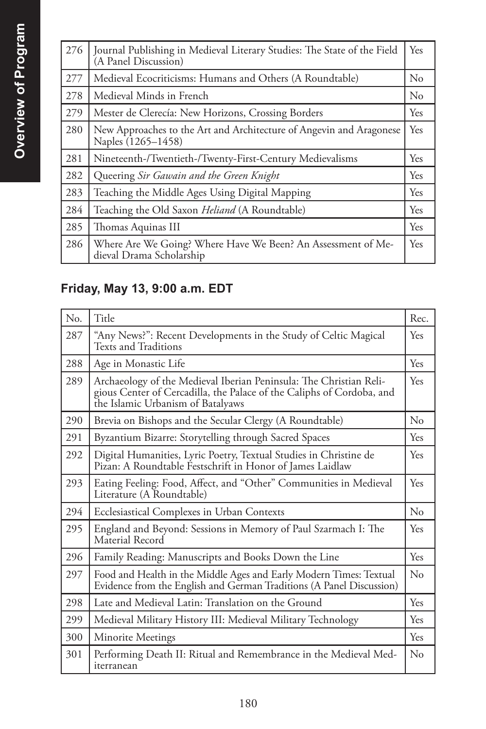| 276 | Journal Publishing in Medieval Literary Studies: The State of the Field<br>(A Panel Discussion) | Yes      |
|-----|-------------------------------------------------------------------------------------------------|----------|
| 277 | Medieval Ecocriticisms: Humans and Others (A Roundtable)                                        | No       |
| 278 | Medieval Minds in French                                                                        | $\rm No$ |
| 279 | Mester de Clerecía: New Horizons, Crossing Borders                                              | Yes      |
| 280 | New Approaches to the Art and Architecture of Angevin and Aragonese<br>Naples (1265–1458)       | Yes      |
| 281 | Nineteenth-/Twentieth-/Twenty-First-Century Medievalisms                                        | Yes      |
| 282 | Queering Sir Gawain and the Green Knight                                                        | Yes      |
| 283 | Teaching the Middle Ages Using Digital Mapping                                                  | Yes      |
| 284 | Teaching the Old Saxon Heliand (A Roundtable)                                                   | Yes      |
| 285 | Thomas Aquinas III                                                                              | Yes      |
| 286 | Where Are We Going? Where Have We Been? An Assessment of Me-<br>dieval Drama Scholarship        | Yes      |

# **Friday, May 13, 9:00 a.m. EDT**

| N <sub>0</sub> | Title                                                                                                                                                                            | Rec.        |
|----------------|----------------------------------------------------------------------------------------------------------------------------------------------------------------------------------|-------------|
| 287            | "Any News?": Recent Developments in the Study of Celtic Magical<br>Texts and Traditions                                                                                          | <b>Yes</b>  |
| 288            | Age in Monastic Life                                                                                                                                                             | Yes         |
| 289            | Archaeology of the Medieval Iberian Peninsula: The Christian Reli-<br>gious Center of Cercadilla, the Palace of the Caliphs of Cordoba, and<br>the Islamic Urbanism of Batalyaws | Yes         |
| 290            | Brevia on Bishops and the Secular Clergy (A Roundtable)                                                                                                                          | No          |
| 291            | Byzantium Bizarre: Storytelling through Sacred Spaces                                                                                                                            | Yes         |
| 292            | Digital Humanities, Lyric Poetry, Textual Studies in Christine de<br>Pizan: A Roundtable Festschrift in Honor of James Laidlaw                                                   | Yes         |
| 293            | Eating Feeling: Food, Affect, and "Other" Communities in Medieval<br>Literature (A Roundtable)                                                                                   | Yes         |
| 294            | Ecclesiastical Complexes in Urban Contexts                                                                                                                                       | No          |
| 295            | England and Beyond: Sessions in Memory of Paul Szarmach I: The<br>Material Record                                                                                                | Yes         |
| 296            | Family Reading: Manuscripts and Books Down the Line                                                                                                                              | Yes         |
| 297            | Food and Health in the Middle Ages and Early Modern Times: Textual<br>Evidence from the English and German Traditions (A Panel Discussion)                                       | $\rm N_{0}$ |
| 298            | Late and Medieval Latin: Translation on the Ground                                                                                                                               | Yes         |
| 299            | Medieval Military History III: Medieval Military Technology                                                                                                                      | Yes         |
| 300            | Minorite Meetings                                                                                                                                                                | <b>Yes</b>  |
| 301            | Performing Death II: Ritual and Remembrance in the Medieval Med-<br>iterranean                                                                                                   | $\rm No$    |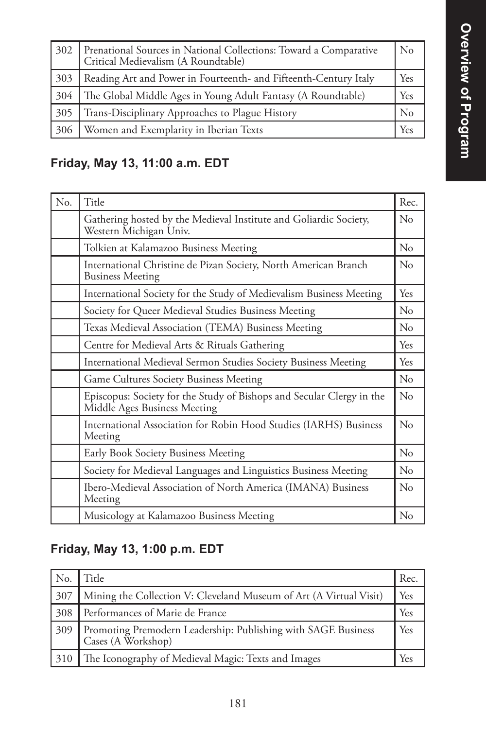| 302 | Prenational Sources in National Collections: Toward a Comparative<br>Critical Medievalism (A Roundtable) | $\rm No$       |
|-----|----------------------------------------------------------------------------------------------------------|----------------|
| 303 | Reading Art and Power in Fourteenth- and Fifteenth-Century Italy                                         | Yes            |
| 304 | The Global Middle Ages in Young Adult Fantasy (A Roundtable)                                             | Yes            |
| 305 | Trans-Disciplinary Approaches to Plague History                                                          | N <sub>0</sub> |
| 306 | Women and Exemplarity in Iberian Texts                                                                   | Yes            |

### **Friday, May 13, 11:00 a.m. EDT**

| No. | Title                                                                                                 | Rec.        |
|-----|-------------------------------------------------------------------------------------------------------|-------------|
|     | Gathering hosted by the Medieval Institute and Goliardic Society,<br>Western Michigan Univ.           | No          |
|     | Tolkien at Kalamazoo Business Meeting                                                                 | No          |
|     | International Christine de Pizan Society, North American Branch<br><b>Business Meeting</b>            | $\rm N_{0}$ |
|     | International Society for the Study of Medievalism Business Meeting                                   | Yes         |
|     | Society for Queer Medieval Studies Business Meeting                                                   | $\rm No$    |
|     | Texas Medieval Association (TEMA) Business Meeting                                                    | No          |
|     | Centre for Medieval Arts & Rituals Gathering                                                          | Yes         |
|     | International Medieval Sermon Studies Society Business Meeting                                        | Yes         |
|     | Game Cultures Society Business Meeting                                                                | $\rm No$    |
|     | Episcopus: Society for the Study of Bishops and Secular Clergy in the<br>Middle Ages Business Meeting | $\rm No$    |
|     | International Association for Robin Hood Studies (IARHS) Business<br>Meeting                          | No          |
|     | Early Book Society Business Meeting                                                                   | No          |
|     | Society for Medieval Languages and Linguistics Business Meeting                                       | No          |
|     | Ibero-Medieval Association of North America (IMANA) Business<br>Meeting                               | $\rm No$    |
|     | Musicology at Kalamazoo Business Meeting                                                              | No          |

### **Friday, May 13, 1:00 p.m. EDT**

| No. | Title                                                                               | Rec. |
|-----|-------------------------------------------------------------------------------------|------|
| 307 | Mining the Collection V: Cleveland Museum of Art (A Virtual Visit)                  | Yes  |
| 308 | Performances of Marie de France                                                     | Yes  |
| 309 | Promoting Premodern Leadership: Publishing with SAGE Business<br>Cases (A Workshop) | Yes  |
| 310 | The Iconography of Medieval Magic: Texts and Images                                 | Yes  |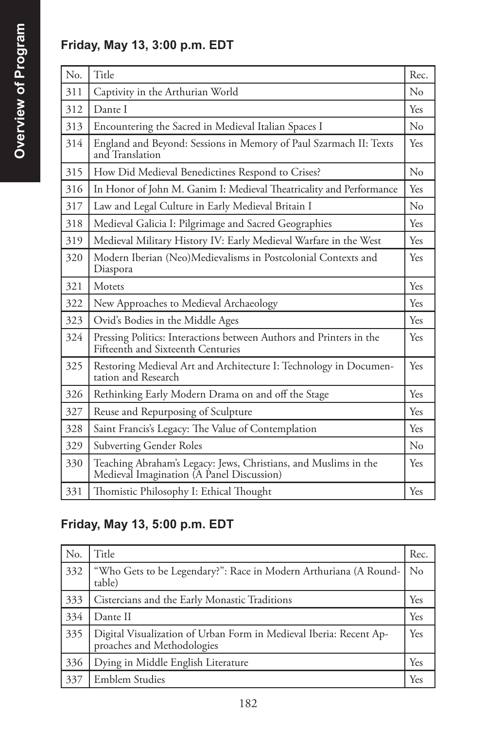### **Friday, May 13, 3:00 p.m. EDT**

| No. | Title                                                                                                        | Rec.       |
|-----|--------------------------------------------------------------------------------------------------------------|------------|
| 311 | Captivity in the Arthurian World                                                                             | No         |
| 312 | Dante I                                                                                                      | Yes        |
| 313 | Encountering the Sacred in Medieval Italian Spaces I                                                         | No         |
| 314 | England and Beyond: Sessions in Memory of Paul Szarmach II: Texts<br>and Translation                         | <b>Yes</b> |
| 315 | How Did Medieval Benedictines Respond to Crises?                                                             | No         |
| 316 | In Honor of John M. Ganim I: Medieval Theatricality and Performance                                          | Yes        |
| 317 | Law and Legal Culture in Early Medieval Britain I                                                            | No         |
| 318 | Medieval Galicia I: Pilgrimage and Sacred Geographies                                                        | Yes        |
| 319 | Medieval Military History IV: Early Medieval Warfare in the West                                             | Yes        |
| 320 | Modern Iberian (Neo)Medievalisms in Postcolonial Contexts and<br>Diaspora                                    | Yes        |
| 321 | Motets                                                                                                       | <b>Yes</b> |
| 322 | New Approaches to Medieval Archaeology                                                                       | Yes        |
| 323 | Ovid's Bodies in the Middle Ages                                                                             | Yes        |
| 324 | Pressing Politics: Interactions between Authors and Printers in the<br>Fifteenth and Sixteenth Centuries     | Yes        |
| 325 | Restoring Medieval Art and Architecture I: Technology in Documen-<br>tation and Research                     | Yes        |
| 326 | Rethinking Early Modern Drama on and off the Stage                                                           | Yes        |
| 327 | Reuse and Repurposing of Sculpture                                                                           | Yes        |
| 328 | Saint Francis's Legacy: The Value of Contemplation                                                           | <b>Yes</b> |
| 329 | <b>Subverting Gender Roles</b>                                                                               | No         |
| 330 | Teaching Abraham's Legacy: Jews, Christians, and Muslims in the<br>Medieval Imagination (A Panel Discussion) | Yes        |
| 331 | Thomistic Philosophy I: Ethical Thought                                                                      | Yes        |

## **Friday, May 13, 5:00 p.m. EDT**

| No. | Title                                                                                       | Rec. |
|-----|---------------------------------------------------------------------------------------------|------|
| 332 | "Who Gets to be Legendary?": Race in Modern Arthuriana (A Round-<br>table)                  | No   |
| 333 | Cistercians and the Early Monastic Traditions                                               | Yes  |
| 334 | Dante II                                                                                    | Yes  |
| 335 | Digital Visualization of Urban Form in Medieval Iberia: Recent Approaches and Methodologies | Yes  |
| 336 | Dying in Middle English Literature                                                          | Yes  |
| 337 | Emblem Studies                                                                              | Yes  |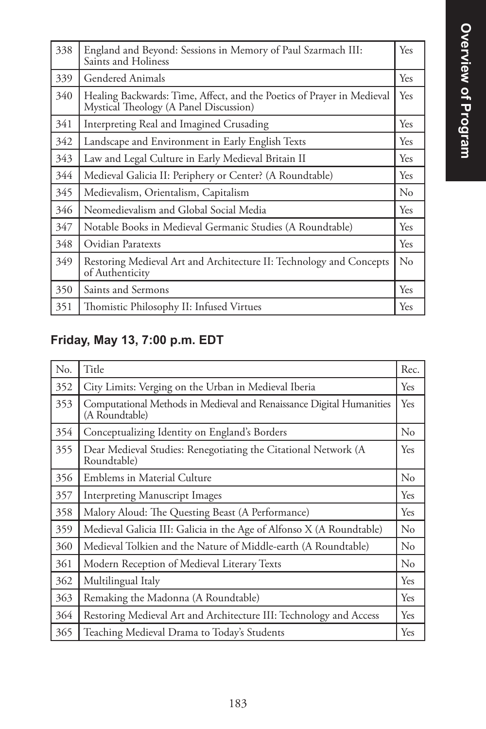| 338 | England and Beyond: Sessions in Memory of Paul Szarmach III:<br>Saints and Holiness                              | Yes      |
|-----|------------------------------------------------------------------------------------------------------------------|----------|
| 339 | Gendered Animals                                                                                                 | Yes.     |
| 340 | Healing Backwards: Time, Affect, and the Poetics of Prayer in Medieval<br>Mystical Theology (A Panel Discussion) | Yes      |
| 341 | Interpreting Real and Imagined Crusading                                                                         | Yes      |
| 342 | Landscape and Environment in Early English Texts                                                                 | Yes      |
| 343 | Law and Legal Culture in Early Medieval Britain II                                                               | Yes      |
| 344 | Medieval Galicia II: Periphery or Center? (A Roundtable)                                                         | Yes      |
| 345 | Medievalism, Orientalism, Capitalism                                                                             | $\rm No$ |
| 346 | Neomedievalism and Global Social Media                                                                           | Yes      |
| 347 | Notable Books in Medieval Germanic Studies (A Roundtable)                                                        | Yes      |
| 348 | Ovidian Paratexts                                                                                                | Yes      |
| 349 | Restoring Medieval Art and Architecture II: Technology and Concepts<br>of Authenticity                           | $\rm No$ |
| 350 | Saints and Sermons                                                                                               | Yes      |
| 351 | Thomistic Philosophy II: Infused Virtues                                                                         | Yes      |

# **Friday, May 13, 7:00 p.m. EDT**

| No. | Title                                                                                  | Rec.       |
|-----|----------------------------------------------------------------------------------------|------------|
| 352 | City Limits: Verging on the Urban in Medieval Iberia                                   | Yes        |
| 353 | Computational Methods in Medieval and Renaissance Digital Humanities<br>(A Roundtable) | <b>Yes</b> |
| 354 | Conceptualizing Identity on England's Borders                                          | $\rm No$   |
| 355 | Dear Medieval Studies: Renegotiating the Citational Network (A<br>Roundtable)          | Yes        |
| 356 | Emblems in Material Culture                                                            | $\rm No$   |
| 357 | <b>Interpreting Manuscript Images</b>                                                  | Yes        |
| 358 | Malory Aloud: The Questing Beast (A Performance)                                       | <b>Yes</b> |
| 359 | Medieval Galicia III: Galicia in the Age of Alfonso X (A Roundtable)                   | No         |
| 360 | Medieval Tolkien and the Nature of Middle-earth (A Roundtable)                         | No         |
| 361 | Modern Reception of Medieval Literary Texts                                            | $\rm No$   |
| 362 | Multilingual Italy                                                                     | Yes        |
| 363 | Remaking the Madonna (A Roundtable)                                                    | Yes        |
| 364 | Restoring Medieval Art and Architecture III: Technology and Access                     | Yes        |
| 365 | Teaching Medieval Drama to Today's Students                                            | Yes        |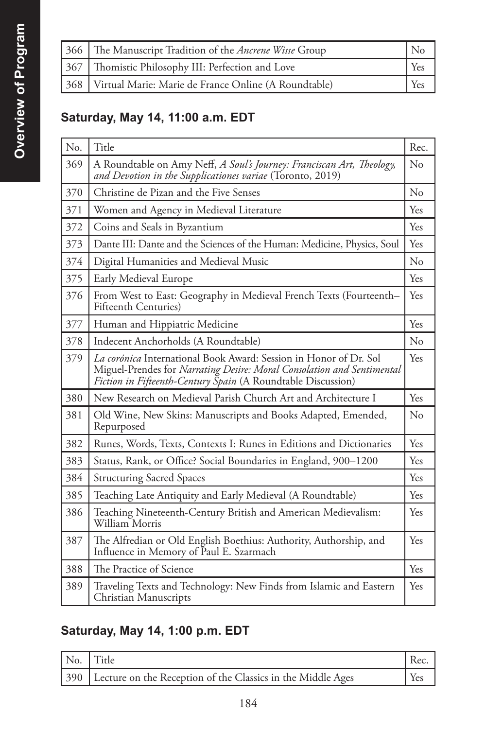| 366 The Manuscript Tradition of the Ancrene Wisse Group    | N٥  |
|------------------------------------------------------------|-----|
| 367   Thomistic Philosophy III: Perfection and Love        | Yes |
| 368   Virtual Marie: Marie de France Online (A Roundtable) | Yes |

## **Saturday, May 14, 11:00 a.m. EDT**

| No. | Title                                                                                                                                                                                                       | Rec. |
|-----|-------------------------------------------------------------------------------------------------------------------------------------------------------------------------------------------------------------|------|
| 369 | A Roundtable on Amy Neff, A Soul's Journey: Franciscan Art, Theology,<br>and Devotion in the Supplicationes variae (Toronto, 2019)                                                                          | No   |
| 370 | Christine de Pizan and the Five Senses                                                                                                                                                                      | No   |
| 371 | Women and Agency in Medieval Literature                                                                                                                                                                     | Yes  |
| 372 | Coins and Seals in Byzantium                                                                                                                                                                                | Yes  |
| 373 | Dante III: Dante and the Sciences of the Human: Medicine, Physics, Soul                                                                                                                                     | Yes  |
| 374 | Digital Humanities and Medieval Music                                                                                                                                                                       | No   |
| 375 | Early Medieval Europe                                                                                                                                                                                       | Yes  |
| 376 | From West to East: Geography in Medieval French Texts (Fourteenth-<br>Fifteenth Centuries)                                                                                                                  | Yes  |
| 377 | Human and Hippiatric Medicine                                                                                                                                                                               | Yes. |
| 378 | Indecent Anchorholds (A Roundtable)                                                                                                                                                                         | No   |
| 379 | La corónica International Book Award: Session in Honor of Dr. Sol<br>Miguel-Prendes for Narrating Desire: Moral Consolation and Sentimental<br>Fiction in Fifteenth-Century Spain (A Roundtable Discussion) | Yes  |
| 380 | New Research on Medieval Parish Church Art and Architecture I                                                                                                                                               | Yes  |
| 381 | Old Wine, New Skins: Manuscripts and Books Adapted, Emended,<br>Repurposed                                                                                                                                  | No   |
| 382 | Runes, Words, Texts, Contexts I: Runes in Editions and Dictionaries                                                                                                                                         | Yes  |
| 383 | Status, Rank, or Office? Social Boundaries in England, 900-1200                                                                                                                                             | Yes  |
| 384 | <b>Structuring Sacred Spaces</b>                                                                                                                                                                            | Yes  |
| 385 | Teaching Late Antiquity and Early Medieval (A Roundtable)                                                                                                                                                   | Yes  |
| 386 | Teaching Nineteenth-Century British and American Medievalism:<br>William Morris                                                                                                                             | Yes  |
| 387 | The Alfredian or Old English Boethius: Authority, Authorship, and<br>Influence in Memory of Paul E. Szarmach                                                                                                | Yes  |
| 388 | The Practice of Science                                                                                                                                                                                     | Yes  |
| 389 | Traveling Texts and Technology: New Finds from Islamic and Eastern<br>Christian Manuscripts                                                                                                                 | Yes  |

### **Saturday, May 14, 1:00 p.m. EDT**

| No. Title                                                       | Rec.       |
|-----------------------------------------------------------------|------------|
| 390 Lecture on the Reception of the Classics in the Middle Ages | <b>Yes</b> |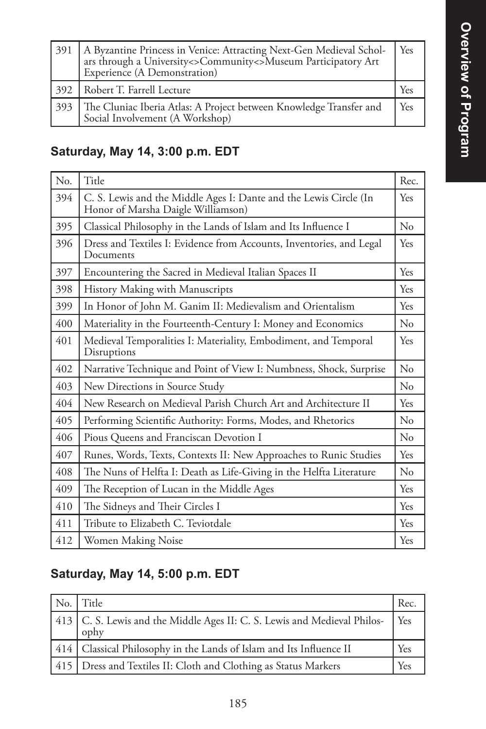| 391 | A Byzantine Princess in Venice: Attracting Next-Gen Medieval Schol-<br>ars through a University <> Community <> Museum Participatory Art<br>Experience (A Demonstration) | Yes        |
|-----|--------------------------------------------------------------------------------------------------------------------------------------------------------------------------|------------|
|     | 392   Robert T. Farrell Lecture                                                                                                                                          | Yes        |
| 393 | The Cluniac Iberia Atlas: A Project between Knowledge Transfer and<br>Social Involvement (A Workshop)                                                                    | <b>Yes</b> |

# **Saturday, May 14, 3:00 p.m. EDT**

| No. | Title                                                                                                   | Rec.        |
|-----|---------------------------------------------------------------------------------------------------------|-------------|
| 394 | C. S. Lewis and the Middle Ages I: Dante and the Lewis Circle (In<br>Honor of Marsha Daigle Williamson) | Yes         |
| 395 | Classical Philosophy in the Lands of Islam and Its Influence I                                          | No          |
| 396 | Dress and Textiles I: Evidence from Accounts, Inventories, and Legal<br>Documents                       | Yes         |
| 397 | Encountering the Sacred in Medieval Italian Spaces II                                                   | Yes         |
| 398 | History Making with Manuscripts                                                                         | Yes         |
| 399 | In Honor of John M. Ganim II: Medievalism and Orientalism                                               | Yes         |
| 400 | Materiality in the Fourteenth-Century I: Money and Economics                                            | $\rm N_{0}$ |
| 401 | Medieval Temporalities I: Materiality, Embodiment, and Temporal<br>Disruptions                          | Yes         |
| 402 | Narrative Technique and Point of View I: Numbness, Shock, Surprise                                      | No          |
| 403 | New Directions in Source Study                                                                          | No          |
| 404 | New Research on Medieval Parish Church Art and Architecture II                                          | Yes         |
| 405 | Performing Scientific Authority: Forms, Modes, and Rhetorics                                            | No          |
| 406 | Pious Queens and Franciscan Devotion I                                                                  | $\rm No$    |
| 407 | Runes, Words, Texts, Contexts II: New Approaches to Runic Studies                                       | Yes         |
| 408 | The Nuns of Helfta I: Death as Life-Giving in the Helfta Literature                                     | $\rm No$    |
| 409 | The Reception of Lucan in the Middle Ages                                                               | Yes         |
| 410 | The Sidneys and Their Circles I                                                                         | Yes         |
| 411 | Tribute to Elizabeth C. Teviotdale                                                                      | Yes         |
| 412 | Women Making Noise                                                                                      | Yes         |

### **Saturday, May 14, 5:00 p.m. EDT**

| No. | l Title                                                                            | Rec.            |
|-----|------------------------------------------------------------------------------------|-----------------|
|     | 413   C. S. Lewis and the Middle Ages II: C. S. Lewis and Medieval Philos-<br>ophy | $Y_{\text{es}}$ |
|     | 414   Classical Philosophy in the Lands of Islam and Its Influence II              | Yes             |
|     | 415   Dress and Textiles II: Cloth and Clothing as Status Markers                  | Yes             |